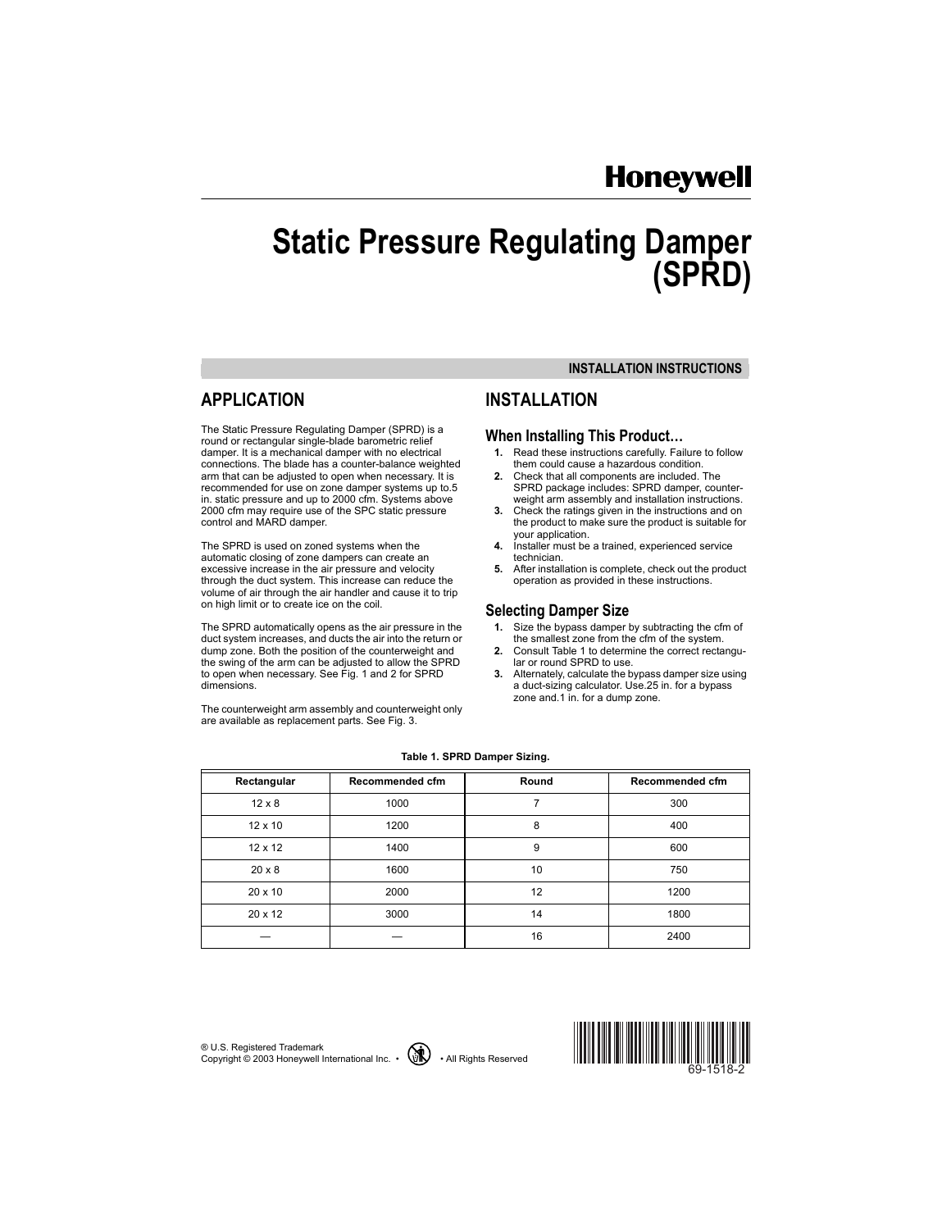# **Honeywell**

# **Static Pressure Regulating Damper (SPRD)**

# **APPLICATION**

The Static Pressure Regulating Damper (SPRD) is a round or rectangular single-blade barometric relief damper. It is a mechanical damper with no electrical connections. The blade has a counter-balance weighted arm that can be adjusted to open when necessary. It is recommended for use on zone damper systems up to.5 in. static pressure and up to 2000 cfm. Systems above 2000 cfm may require use of the SPC static pressure control and MARD damper.

The SPRD is used on zoned systems when the automatic closing of zone dampers can create an excessive increase in the air pressure and velocity through the duct system. This increase can reduce the volume of air through the air handler and cause it to trip on high limit or to create ice on the coil.

The SPRD automatically opens as the air pressure in the duct system increases, and ducts the air into the return or dump zone. Both the position of the counterweight and the swing of the arm can be adjusted to allow the SPRD to open when necessary. See Fig. 1 and 2 for SPRD dimensions.

The counterweight arm assembly and counterweight only are available as replacement parts. See Fig. 3.

#### **INSTALLATION INSTRUCTIONS**

## **INSTALLATION**

#### **When Installing This Product...**

- **1.** Read these instructions carefully. Failure to follow them could cause a hazardous condition.
- **2.** Check that all components are included. The SPRD package includes: SPRD damper, counterweight arm assembly and installation instructions.
- **3.** Check the ratings given in the instructions and on the product to make sure the product is suitable for your application.
- **4.** Installer must be a trained, experienced service technician.
- **5.** After installation is complete, check out the product operation as provided in these instructions.

#### **Selecting Damper Size**

- **1.** Size the bypass damper by subtracting the cfm of the smallest zone from the cfm of the system.
- **2.** Consult Table 1 to determine the correct rectangular or round SPRD to use.
- **3.** Alternately, calculate the bypass damper size using a duct-sizing calculator. Use.25 in. for a bypass zone and.1 in. for a dump zone.

| Rectangular    | Recommended cfm | Round | Recommended cfm |
|----------------|-----------------|-------|-----------------|
| $12 \times 8$  | 1000            | 7     | 300             |
| $12 \times 10$ | 1200            | 8     | 400             |
| $12 \times 12$ | 1400            | 9     | 600             |
| $20 \times 8$  | 1600            | 10    | 750             |
| $20 \times 10$ | 2000            | 12    | 1200            |
| $20 \times 12$ | 3000            | 14    | 1800            |
|                |                 | 16    | 2400            |

#### **Table 1. SPRD Damper Sizing.**

Æ U.S. Registered Trademark Copyright  $\circ$  2003 Honeywell International Inc.  $\cdot$   $\circ$   $\circ$   $\bullet$  All Rights Reserved



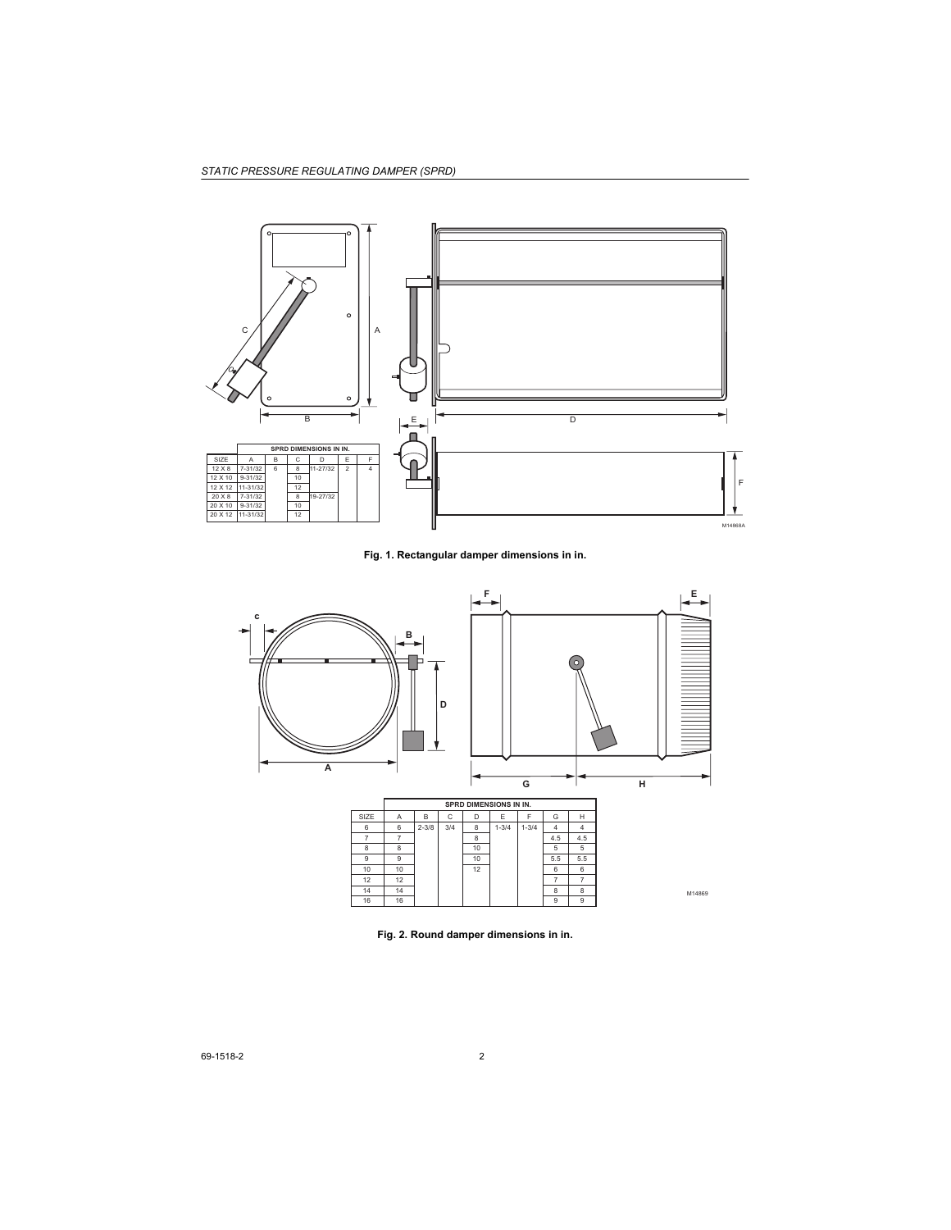

**Fig. 1. Rectangular damper dimensions in in.**



**Fig. 2. Round damper dimensions in in.**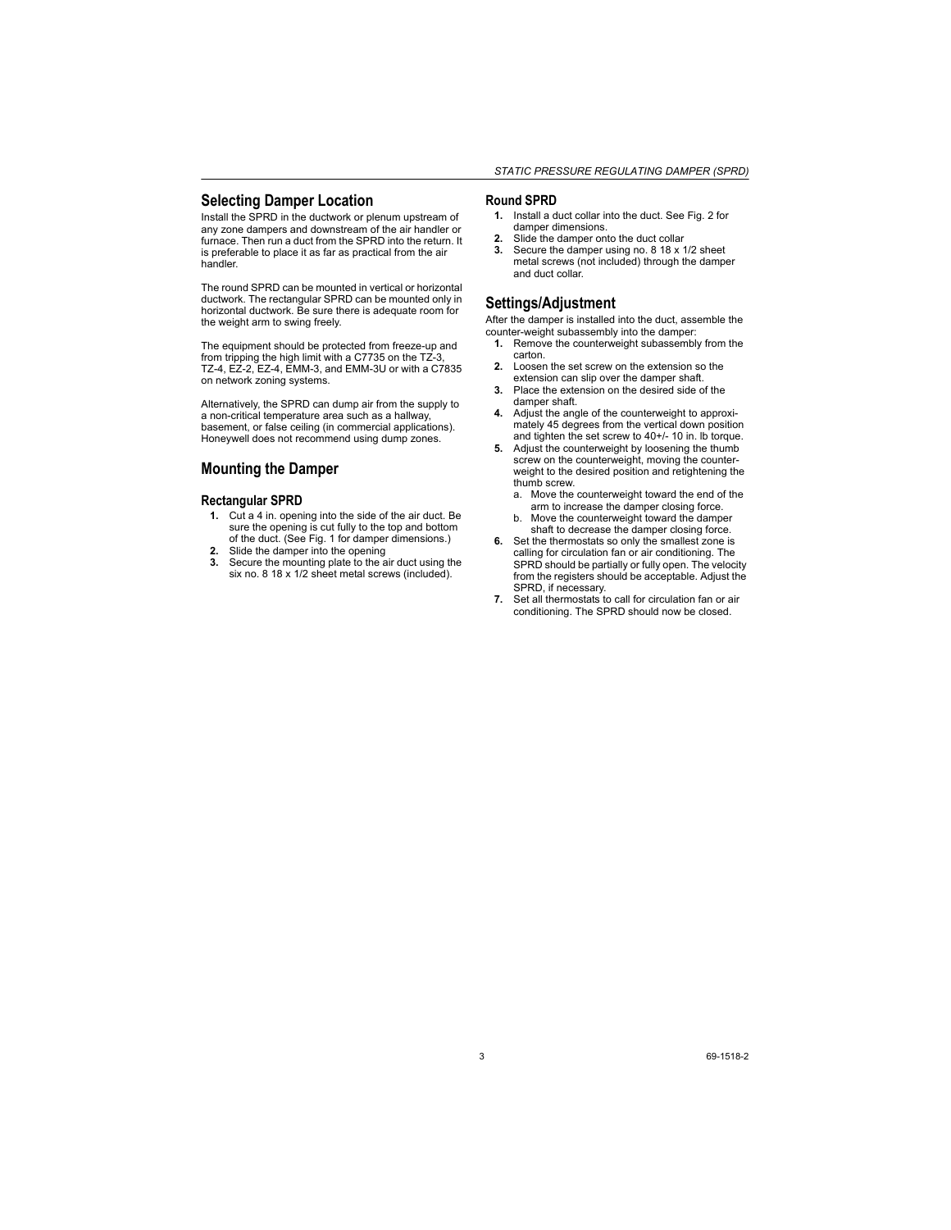#### **Selecting Damper Location**

Install the SPRD in the ductwork or plenum upstream of any zone dampers and downstream of the air handler or furnace. Then run a duct from the SPRD into the return. It is preferable to place it as far as practical from the air handler.

The round SPRD can be mounted in vertical or horizontal ductwork. The rectangular SPRD can be mounted only in horizontal ductwork. Be sure there is adequate room for the weight arm to swing freely.

The equipment should be protected from freeze-up and from tripping the high limit with a C7735 on the TZ-3, TZ-4, EZ-2, EZ-4, EMM-3, and EMM-3U or with a C7835 on network zoning systems.

Alternatively, the SPRD can dump air from the supply to a non-critical temperature area such as a hallway, basement, or false ceiling (in commercial applications). Honeywell does not recommend using dump zones.

#### **Mounting the Damper**

#### **Rectangular SPRD**

- **1.** Cut a 4 in. opening into the side of the air duct. Be sure the opening is cut fully to the top and bottom of the duct. (See Fig. 1 for damper dimensions.)
- **2.** Slide the damper into the opening
- **3.** Secure the mounting plate to the air duct using the six no. 8 18 x 1/2 sheet metal screws (included).

#### **Round SPRD**

- **1.** Install a duct collar into the duct. See Fig. 2 for damper dimensions.
- **2.** Slide the damper onto the duct collar
- **3.** Secure the damper using no. 8 18 x 1/2 sheet metal screws (not included) through the damper and duct collar.

#### **Settings/Adjustment**

After the damper is installed into the duct, assemble the counter-weight subassembly into the damper:

- **1.** Remove the counterweight subassembly from the carton.
- **2.** Loosen the set screw on the extension so the extension can slip over the damper shaft.
- **3.** Place the extension on the desired side of the damper shaft.
- **4.** Adjust the angle of the counterweight to approximately 45 degrees from the vertical down position and tighten the set screw to 40+/- 10 in. lb torque.
- **5.** Adjust the counterweight by loosening the thumb screw on the counterweight, moving the counterweight to the desired position and retightening the thumb screw.
	- a. Move the counterweight toward the end of the arm to increase the damper closing force.
	- b. Move the counterweight toward the damper shaft to decrease the damper closing force.
- **6.** Set the thermostats so only the smallest zone is calling for circulation fan or air conditioning. The SPRD should be partially or fully open. The velocity from the registers should be acceptable. Adjust the SPRD, if necessary.
- **7.** Set all thermostats to call for circulation fan or air conditioning. The SPRD should now be closed.